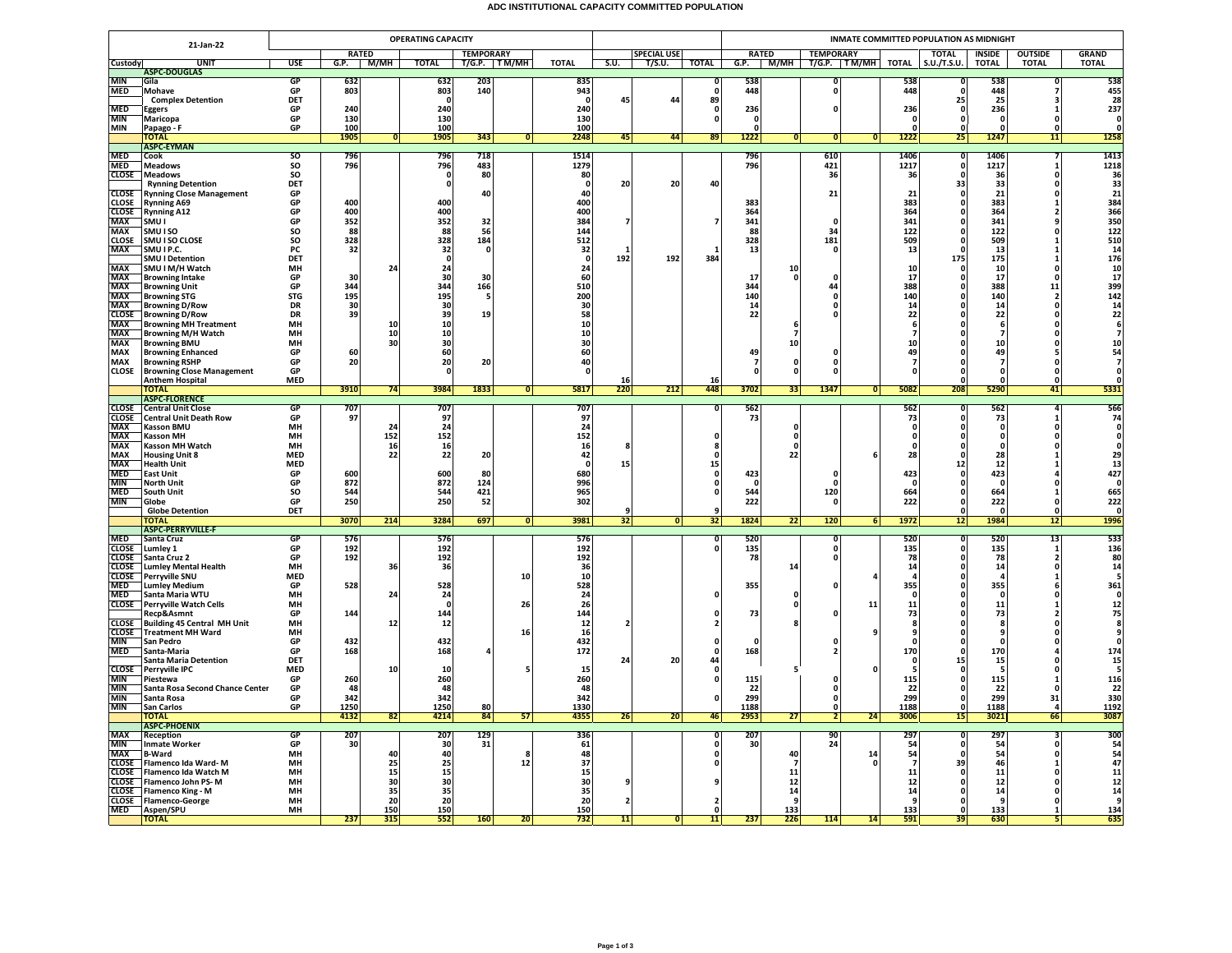## **ADC INSTITUTIONAL CAPACITY COMMITTED POPULATION**

|                            |                                                                               |                  |              |          | <b>OPERATING CAPACITY</b> |                  |                |                  |      |                    |                   | INMATE COMMITTED POPULATION AS MIDNIGHT |                          |                              |              |                  |                          |                    |                         |                                                       |  |
|----------------------------|-------------------------------------------------------------------------------|------------------|--------------|----------|---------------------------|------------------|----------------|------------------|------|--------------------|-------------------|-----------------------------------------|--------------------------|------------------------------|--------------|------------------|--------------------------|--------------------|-------------------------|-------------------------------------------------------|--|
|                            | 21-Jan-22                                                                     |                  | <b>RATED</b> |          |                           | <b>TEMPORARY</b> |                |                  |      | <b>SPECIAL USE</b> |                   |                                         | <b>RATED</b>             | <b>TEMPORARY</b>             |              |                  | <b>TOTAL</b>             | <b>INSIDE</b>      | <b>OUTSIDE</b>          | <b>GRAND</b>                                          |  |
| <b>Custody</b>             | <b>UNIT</b>                                                                   | <b>USE</b>       | G.P.         | — М/МН   | <b>TOTAL</b>              | T/G.P. TM/MH     |                | <b>TOTAL</b>     | S.U. | T/S.U.             | <b>TOTAL</b>      |                                         |                          | G.P. M/MH T/G.P. TM/MH TOTAL |              |                  | S.U./T.S.U.              | <b>TOTAL</b>       | <b>TOTAL</b>            | <b>TOTAL</b>                                          |  |
| <b>MIN</b>                 | <b>ASPC-DOUGLAS</b><br>Gila                                                   | GP               | 632          |          | 632                       | 203              |                | 835              |      |                    | n                 | 538                                     |                          | n                            |              | 538              |                          | 538                |                         | 538                                                   |  |
| <b>MED</b>                 | Mohave                                                                        | GP               | 803          |          | 803                       | 140              |                | 943              |      |                    | $\mathbf{0}$      | 448                                     |                          | 0                            |              | 448              |                          | 448                |                         | 455                                                   |  |
|                            | <b>Complex Detention</b>                                                      | DET              |              |          | $\Omega$                  |                  |                | - 0              | 45   | 44                 | 89                |                                         |                          |                              |              |                  | 25                       | 25                 |                         | 28                                                    |  |
| <b>MED</b><br><b>MIN</b>   | <b>Eggers</b><br>Maricopa                                                     | GP<br>GP         | 240<br>130   |          | 240<br>130                |                  |                | 240<br>130       |      |                    | 0<br>$\mathbf{0}$ | 236<br>$\mathbf{0}$                     |                          | 0                            |              | 236<br>$\Omega$  | $\mathbf{0}$<br>$\Omega$ | 236<br>$\Omega$    | $\Omega$                | 237<br>$\Omega$                                       |  |
| <b>MIN</b>                 | Papago - F                                                                    | GP               | 100          |          | 100                       |                  |                | 100              |      |                    |                   | $\mathbf{0}$                            |                          |                              |              |                  |                          |                    |                         |                                                       |  |
|                            | <b>TOTAL</b>                                                                  |                  | 1905         | 0        | 1905                      | 343              | $\Omega$       | 2248             | 45   | 44                 | 89                | 1222                                    | 0                        | 0                            | $\mathbf{0}$ | 1222             | 25                       | 1247               | 11                      | 1258                                                  |  |
|                            | <b>ASPC-EYMAN</b><br>Cook                                                     | <sub>SO</sub>    | 796          |          | 796                       | 718              |                | 1514             |      |                    |                   | 796                                     |                          | 610                          |              | 1406             |                          | 1406               |                         | 1413                                                  |  |
| MED<br>MED                 | <b>Meadows</b>                                                                | SO               | 796          |          | 796                       | 483              |                | 1279             |      |                    |                   | 796                                     |                          | 421                          |              | 1217             | 0                        | 1217               |                         | 1218                                                  |  |
| <b>CLOSE</b>               | <b>Meadows</b>                                                                | SO               |              |          | 0                         | 80               |                | 80               |      |                    |                   |                                         |                          | 36                           |              | 36               |                          | 36                 | 0                       | 36                                                    |  |
|                            | <b>Rynning Detention</b>                                                      | DET              |              |          | $\mathbf 0$               |                  |                | - 0              | 20   | 20                 | 40                |                                         |                          |                              |              |                  | 33                       | 33                 |                         | 33                                                    |  |
| <b>CLOSE</b>               | <b>Rynning Close Management</b><br><b>Rynning A69</b>                         | GP<br>GP         | 400          |          | 400                       | 40               |                | 40<br>400        |      |                    |                   | 383                                     |                          | 21                           |              | 21<br>383        |                          | 21<br>383          | n                       | 21<br>384                                             |  |
| <b>CLOSE</b><br>CLOSE      | <b>Rynning A12</b>                                                            | GP               | 400          |          | 400                       |                  |                | 400              |      |                    |                   | 364                                     |                          |                              |              | 364              |                          | 364                |                         | 366                                                   |  |
| <b>MAX</b>                 | SMU I                                                                         | GP               | 352          |          | 352                       | 32               |                | 384              |      |                    |                   | 341                                     |                          | $\Omega$                     |              | 341              |                          | 341                |                         | 350                                                   |  |
| <b>MAX</b>                 | SMU I SO<br>SMU I SO CLOSE                                                    | <b>SO</b><br>SO  | 88<br>328    |          | 88<br>328                 | 56<br>184        |                | 144<br>512       |      |                    |                   | 88<br>328                               |                          | 34<br>181                    |              | 122<br>509       |                          | 122<br>509         |                         | 122                                                   |  |
| <b>CLOSE</b><br>MAX        | SMU I P.C.                                                                    | PC               | 32           |          | 32                        | $\mathbf{0}$     |                | 32               |      |                    |                   | 13                                      |                          | $\mathbf{0}$                 |              | 13               |                          | 13                 |                         | $\frac{510}{14}$                                      |  |
|                            | <b>SMU I Detention</b>                                                        | DET              |              |          | $\Omega$                  |                  |                | $\Omega$         | 192  | 192                | 384               |                                         |                          |                              |              |                  | 175                      | 175                |                         |                                                       |  |
|                            | SMU I M/H Watch                                                               | MH               |              | 24       | 24                        |                  |                | 24               |      |                    |                   |                                         | 10                       |                              |              | 10               |                          | 10                 | $\Omega$                | 176<br>10<br>17<br>399<br>14<br>2<br>4<br>2<br>6<br>7 |  |
|                            | <b>Browning Intake</b><br><b>Browning Unit</b>                                | GP<br>GP         | 30<br>344    |          | 30<br>344                 | 30<br>166        |                | 60<br>510        |      |                    |                   | 17<br>344                               | $\Omega$                 | $\Omega$<br>44               |              | 17<br>388        |                          | 17<br>388          | $\Omega$<br>11          |                                                       |  |
| MAX<br>MAX<br>MAX<br>MAX   | <b>Browning STG</b>                                                           | <b>STG</b>       | 195          |          | 195                       | -5               |                | 200              |      |                    |                   | 140                                     |                          | $\Omega$                     |              | 140              |                          | 140                | $\overline{2}$          |                                                       |  |
|                            | <b>Browning D/Row</b>                                                         | DR               | 30           |          | 30                        |                  |                | 30               |      |                    |                   | 14                                      |                          | 0                            |              | 14               |                          | 14                 | $\Omega$                |                                                       |  |
| MAX<br>CLOSE<br>MAX        | <b>Browning D/Row</b>                                                         | DR               | 39           |          | 39                        | 19 <sup>1</sup>  |                | 58               |      |                    |                   | 22                                      |                          | 0                            |              | 22               |                          | 22                 | n                       |                                                       |  |
| <b>MAX</b>                 | <b>Browning MH Treatment</b><br><b>Browning M/H Watch</b>                     | MH<br><b>MH</b>  |              | 10<br>10 | 10<br>10                  |                  |                | 10<br>10         |      |                    |                   |                                         | 6<br>$\overline{7}$      |                              |              |                  |                          |                    |                         |                                                       |  |
| <b>MAX</b>                 | <b>Browning BMU</b>                                                           | MH               |              | 30       | 30                        |                  |                | 30               |      |                    |                   |                                         | 10                       |                              |              | 10               |                          | 10                 |                         | ${\bf 10}$                                            |  |
| <b>MAX</b>                 | <b>Browning Enhanced</b>                                                      | GP               | 60           |          | 60                        |                  |                | 60               |      |                    |                   | 49                                      |                          | O                            |              | 49               |                          | 49                 |                         | $\frac{54}{7}$                                        |  |
| <b>MAX</b>                 | <b>Browning RSHP</b>                                                          | GP<br>GP         | 20           |          | 20                        | 20               |                | 40<br>O          |      |                    |                   | 7<br>$\mathbf{0}$                       | 0<br>$\Omega$            | 0<br>0                       |              |                  |                          | 7<br>$\Omega$      | 0<br>$\Omega$           | $\mathbf{o}$                                          |  |
| <b>CLOSE</b>               | <b>Browning Close Management</b><br><b>Anthem Hospital</b>                    | <b>MED</b>       |              |          | 0                         |                  |                |                  | 16   |                    | 16                |                                         |                          |                              |              |                  |                          |                    | 0                       | $\mathbf 0$                                           |  |
|                            | <b>TOTAL</b>                                                                  |                  | 3910         | 74       | 3984                      | 1833             | $\overline{0}$ | 5817             | 220  | 212                | 448               | 3702                                    | 33                       | 1347                         | 0            | 5082             | 208                      | 5290               | 41                      | 5331                                                  |  |
|                            | <b>ASPC-FLORENCE</b><br><b>CLOSE</b> Central Unit Close                       | GP               | 707          |          | 707                       |                  |                | 707              |      |                    |                   | 562                                     |                          |                              |              | $\overline{562}$ |                          | 562                |                         | 566                                                   |  |
|                            |                                                                               | GP               | 97           |          | 97                        |                  |                | 97               |      |                    |                   | 73                                      |                          |                              |              | 73               |                          | 73                 |                         | 74                                                    |  |
|                            | <b>CLOSE</b><br>CHE Central Unit Death Row<br>MAX Kasson BMU<br>MAX Kasson MH | <b>MH</b>        |              | 24       | 24                        |                  |                | 24               |      |                    |                   |                                         | $\Omega$                 |                              |              | $\Omega$         | $\Omega$                 | $\Omega$           | $\Omega$                | $\mathbf{0}$                                          |  |
|                            |                                                                               | MH               |              | 152      | 152                       |                  |                | 152              |      |                    |                   |                                         | $\pmb{\mathsf{o}}$       |                              |              |                  |                          |                    |                         | $\overline{0}$                                        |  |
| <b>MAX</b>                 | Kasson MH Watch<br><b>Housing Unit 8</b>                                      | MH<br>MED        |              | 16<br>22 | 16<br>22                  | 20               |                | 16<br>42         |      |                    |                   |                                         | $\Omega$<br>22           |                              |              | 28               |                          | 28                 |                         |                                                       |  |
| MAX<br>MAX<br>MED          | <b>Health Unit</b>                                                            | <b>MED</b>       |              |          |                           |                  |                | - 0              | 15   |                    | 15                |                                         |                          |                              |              |                  | 12                       | 12                 |                         | $\begin{array}{c} 29 \\ 13 \\ 427 \end{array}$        |  |
|                            | <b>East Unit</b>                                                              | GP               | 600          |          | 600                       | 80               |                | 680              |      |                    | $\mathbf{0}$      | 423                                     |                          | 0                            |              | 423              |                          | 423                |                         |                                                       |  |
| MIN<br>MIN<br>MED          | <b>North Unit</b>                                                             | GP               | 872<br>544   |          | 872<br>544                | 124<br>421       |                | 996<br>965       |      |                    | $\Omega$          | - 0<br>544                              |                          | $\Omega$<br>120              |              | $\Omega$<br>664  |                          | $\Omega$<br>664    |                         | $\mathbf{o}$<br>665                                   |  |
| <b>MIN</b>                 | South Unit<br>Globe                                                           | <b>SO</b><br>GP  | 250          |          | 250                       | 52               |                | 302              |      |                    |                   | 222                                     |                          | $\Omega$                     |              | 222              |                          | 222                | $\Omega$                | 222                                                   |  |
|                            | <b>Globe Detention</b>                                                        | DET              |              |          |                           |                  |                |                  |      |                    |                   |                                         |                          |                              |              |                  |                          | $\Omega$           |                         | $\mathbf{0}$                                          |  |
|                            | <b>TOTAL</b>                                                                  |                  | 3070         | 214      | 3284                      | 697              | $\overline{0}$ | 3981             | 32   | $\overline{0}$     | 32                | 1824                                    | 22                       | 120                          | 6            | 1972             | 12                       | 1984               | 12                      | 1996                                                  |  |
|                            | <b>ASPC-PERRYVILLE-F</b><br>Santa Cruz                                        | GP               | 576          |          | 576                       |                  |                | 576              |      |                    | n                 | 520                                     |                          | O                            |              | 520              | n                        | 520                | 13                      | 533                                                   |  |
| MED<br>CLOSE<br>CLOSE      | Lumley 1                                                                      | GP               | 192          |          | 192                       |                  |                | 192              |      |                    |                   | 135                                     |                          | 0                            |              | 135              |                          | 135                | -1                      | 136                                                   |  |
|                            | Santa Cruz 2                                                                  | GP               | 192          |          | 192                       |                  |                | 192              |      |                    |                   | 78                                      |                          | $\mathbf{0}$                 |              | 78               |                          | 78                 | $\overline{\mathbf{2}}$ | 80                                                    |  |
| <b>CLOSE</b>               | <b>Lumley Mental Health</b>                                                   | MH<br><b>MED</b> |              | 36       | 36                        |                  |                | 36<br>${\bf 10}$ |      |                    |                   |                                         | 14                       |                              |              | 14               |                          | 14<br>$\mathbf{A}$ | $\Omega$                | $\begin{array}{c} 14 \\ 5 \end{array}$                |  |
| <b>CLOSE</b><br><b>MED</b> | Perryville SNU<br><b>Lumley Medium</b>                                        | GP               | 528          |          | 528                       |                  | 10             | 528              |      |                    |                   | 355                                     |                          | $\Omega$                     |              | 355              |                          | 355                |                         | 361                                                   |  |
| <b>MED</b>                 | Santa Maria WTU                                                               | MH               |              | 24       | 24                        |                  |                | 24               |      |                    | $\mathbf{0}$      |                                         | $\mathbf 0$              |                              |              |                  |                          | - 0                |                         | $\mathbf 0$                                           |  |
|                            | <b>CLOSE</b> Perryville Watch Cells                                           | <b>MH</b>        |              |          | 0                         |                  | 26             | 26               |      |                    |                   |                                         | $\mathbf 0$              | $\Omega$                     | 11           | 11               |                          | 11                 |                         |                                                       |  |
|                            | Recp&Asmnt<br><b>Building 45 Central MH Unit</b>                              | GP<br>MH         | 144          | 12       | 144<br>12                 |                  |                | 144<br>12        |      |                    |                   | 73                                      |                          |                              |              | 73<br>8          |                          | 73<br>-8           |                         | 12<br>75<br>8<br>9<br>0                               |  |
| <b>CLOSE</b><br>CLOSE      | <b>Treatment MH Ward</b>                                                      | MH               |              |          |                           |                  | 16             | 16               |      |                    |                   |                                         |                          |                              |              |                  |                          |                    |                         |                                                       |  |
| <b>MIN</b>                 | San Pedro                                                                     | GP               | 432          |          | 432                       |                  |                | 432              |      |                    |                   | $\mathbf{0}$                            |                          |                              |              | $\Omega$         |                          | - 0                |                         |                                                       |  |
| <b>MED</b>                 | Santa-Maria<br><b>Santa Maria Detention</b>                                   | GP<br><b>DET</b> | 168          |          | 168                       |                  |                | 172              | 24   | 20                 | 0<br>44           | 168                                     |                          |                              |              | 170<br>$\Omega$  | 15                       | 170<br>15          |                         | 174<br>15                                             |  |
| <b>CLOSE</b>               | Perryville IPC                                                                | <b>MED</b>       |              | 10       | 10                        |                  |                | 15               |      |                    | $\mathbf 0$       |                                         |                          |                              |              |                  |                          |                    |                         | 5                                                     |  |
| <b>MIN</b>                 | Piestewa                                                                      | GP               | 260          |          | 260                       |                  |                | 260              |      |                    | $\Omega$          | 115                                     |                          | 0                            |              | 115              |                          | 115                |                         | 116                                                   |  |
| <b>MIN</b><br><b>MIN</b>   | Santa Rosa Second Chance Center                                               | GP<br>GP         | 48<br>342    |          | 48<br>342                 |                  |                | 48<br>342        |      |                    |                   | 22<br>299                               |                          | 0<br>$\mathbf 0$             |              | 22<br>299        |                          | 22<br>299          | 0                       | 22<br>330                                             |  |
| <b>MIN</b>                 | Santa Rosa<br>San Carlos                                                      | GP               | 1250         |          | 1250                      | 80               |                | 1330             |      |                    | n                 | 1188                                    |                          | $\mathbf{0}$                 |              | 1188             |                          | 1188               | 31<br>$\overline{a}$    | 1192                                                  |  |
|                            | ΤΟΤΑΙ                                                                         |                  | 4132         | 82       | 4214                      | 84               | 57             | 4355             | 26   | 20                 | 46                | 2953                                    | 27                       | $\mathbf{2}$                 | 24           | 3006             | 15                       | 3021               | 66                      | 3087                                                  |  |
|                            | <b>ASPC-PHOENIX</b>                                                           |                  |              |          |                           |                  |                |                  |      |                    |                   |                                         |                          |                              |              |                  |                          |                    |                         |                                                       |  |
| <b>MAX</b><br><b>MIN</b>   | Reception<br><b>Inmate Worker</b>                                             | GP<br>GP         | 207<br>30    |          | 207<br>30                 | 129<br>31        |                | 336<br>61        |      |                    |                   | 207<br>30                               |                          | 90<br>24                     |              | 297<br>54        |                          | 297<br>54          |                         | 300<br>54                                             |  |
| <b>MAX</b>                 | <b>B-Ward</b>                                                                 | <b>MH</b>        |              | 40       | 40                        |                  | я              | 48               |      |                    | $\Omega$          |                                         | 40                       |                              | 14           | 54               |                          | 54                 | $\Omega$                |                                                       |  |
| <b>CLOSE</b><br>CLOSE      | Flamenco Ida Ward-M                                                           | MH               |              | 25       | 25                        |                  | 12             | 37               |      |                    |                   |                                         | $\overline{\phantom{a}}$ |                              |              |                  | 39                       | 46                 |                         | $\begin{array}{c} 54 \\ 47 \\ 11 \end{array}$         |  |
| <b>CLOSE</b>               | Flamenco Ida Watch M                                                          | MH<br>MH         |              | 15<br>30 | 15<br>30                  |                  |                | 15<br>30         |      |                    |                   |                                         | 11<br>12                 |                              |              | 11<br>12         |                          | 11<br>12           | n                       |                                                       |  |
|                            | Flamenco John PS-M<br><b>CLOSE</b> Flamenco King - M                          | MH               |              | 35       | 35                        |                  |                | 35               |      |                    |                   |                                         | 14                       |                              |              | 14               |                          | 14                 | $\Omega$                | $\begin{array}{c} 12 \\ 14 \end{array}$               |  |
|                            | <b>CLOSE</b> Flamenco-George                                                  | MH               |              | 20       | 20                        |                  |                | 20               |      |                    |                   |                                         | 9                        |                              |              | 9                |                          | 9                  |                         | 9                                                     |  |
|                            | MED Aspen/SPU                                                                 | <b>MH</b>        |              | 150      | 150                       |                  |                | 150              |      |                    | $\Omega$          |                                         | 133                      |                              |              | 133              | $\Omega$                 | 133                | 1                       | 134                                                   |  |
|                            | <b>TOTAL</b>                                                                  |                  | 237          | 315      | 552                       | 160              | 20             | 732              | 11   | O                  | 11                | 237                                     | 226                      | 114                          | 14           | 591              | 39                       | 630                |                         | 635                                                   |  |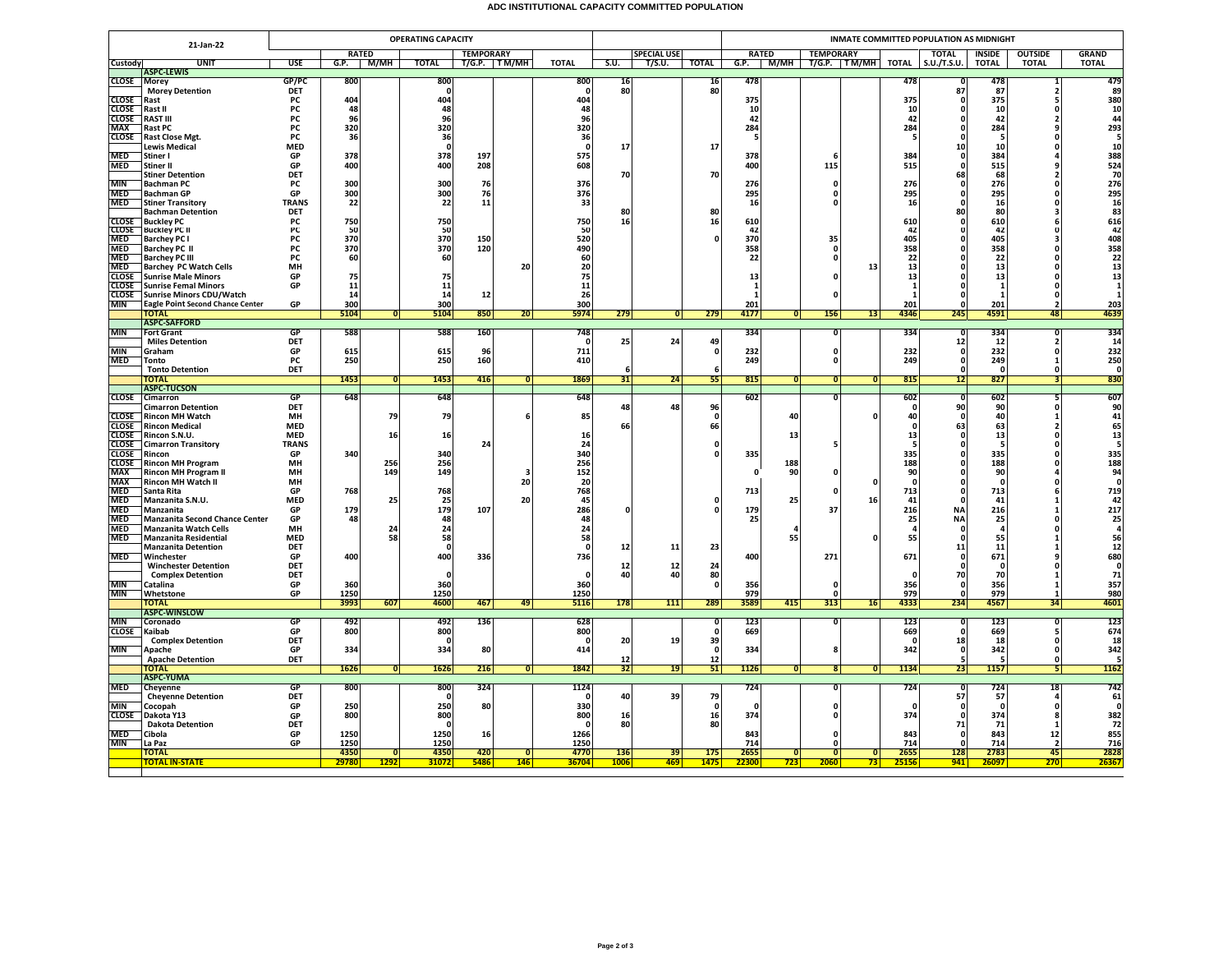## **ADC INSTITUTIONAL CAPACITY COMMITTED POPULATION**

|                              | 21-Jan-22                                                 |                    |               |                         | <b>OPERATING CAPACITY</b> |                  |                     |                 |                    |                    | INMATE COMMITTED POPULATION AS MIDNIGHT |                    |                         |                                 |                      |                    |               |                      |                                         |                                          |
|------------------------------|-----------------------------------------------------------|--------------------|---------------|-------------------------|---------------------------|------------------|---------------------|-----------------|--------------------|--------------------|-----------------------------------------|--------------------|-------------------------|---------------------------------|----------------------|--------------------|---------------|----------------------|-----------------------------------------|------------------------------------------|
|                              |                                                           |                    | <b>RATED</b>  |                         |                           | <b>TEMPORARY</b> |                     |                 |                    | <b>SPECIAL USE</b> |                                         | <b>RATED</b>       |                         | <b>TEMPORARY</b>                |                      |                    | <b>TOTAL</b>  | <b>INSIDE</b>        | <b>OUTSIDE</b>                          | <b>GRAND</b>                             |
| Custody                      | UNIT<br><b>ASPC-LEWIS</b>                                 | <b>USE</b>         |               | $G.P.$ $M/MH$           | <b>TOTAL</b>              |                  | <b>T/G.P.</b> TM/MH | <b>TOTAL</b>    | S.U.               | T/S.U.             | <b>TOTAL</b>                            |                    |                         | G.P. $M/MH$ T/G.P. TM/MH        |                      | <b>TOTAL</b>       | S.U./T.S.U.   | <b>TOTAL</b>         | <b>TOTAL</b>                            | <b>TOTAL</b>                             |
| <b>CLOSE</b>                 | Morey                                                     | GP/PC              | 800           |                         | 800                       |                  |                     | 800             | 16                 |                    | 16                                      | 478                |                         |                                 |                      | 478                |               | 478                  | 1                                       | 479                                      |
|                              | <b>Morey Detention</b>                                    | DET                |               |                         | $\mathbf 0$               |                  |                     | $\Omega$        | 80                 |                    | 80                                      |                    |                         |                                 |                      |                    | 87            | 87                   | $\overline{\phantom{a}}$                | 89                                       |
| <b>CLOSE</b><br><b>CLOSE</b> | Rast<br>Rast II                                           | PC<br>PC           | 404<br>48     |                         | 404<br>48                 |                  |                     | 404<br>48       |                    |                    |                                         | 375<br>10          |                         |                                 |                      | 375<br>10          |               | 375<br>10            | 5<br>$\mathbf{0}$                       | 380<br>10                                |
| <b>CLOSE</b>                 | <b>RAST III</b>                                           | PC                 | 96            |                         | 96                        |                  |                     | 96              |                    |                    |                                         | 42                 |                         |                                 |                      | 42                 |               | 42                   | $\overline{2}$                          | 44                                       |
| MAX                          | Rast PC                                                   | PC                 | 320           |                         | 320                       |                  |                     | 320             |                    |                    |                                         | 284                |                         |                                 |                      | 284                |               | 284                  | 9                                       | 293                                      |
| <b>CLOSE</b>                 | <b>Rast Close Mgt.</b>                                    | <b>PC</b>          | 36            |                         | 36                        |                  |                     | 36              |                    |                    |                                         | 5                  |                         |                                 |                      | 5                  |               | - 5                  | $\Omega$                                | 5                                        |
| <b>MED</b>                   | <b>Lewis Medical</b><br>Stiner I                          | <b>MED</b><br>GP   | 378           |                         | $\Omega$<br>378           | 197              |                     | $\Omega$<br>575 | 17                 |                    | 17                                      | 378                |                         | 6                               |                      | 384                | 10<br>n       | 10<br>384            | $\Omega$                                | 10<br>388                                |
| <b>MED</b>                   | Stiner II                                                 | GP                 | 400           |                         | 400                       | 208              |                     | 608             |                    |                    |                                         | 400                |                         | 115                             |                      | 515                |               | 515                  | 9                                       | 524                                      |
|                              | <b>Stiner Detention</b>                                   | DET                |               |                         |                           |                  |                     |                 | 70                 |                    | 70                                      |                    |                         |                                 |                      |                    | 68            | 68                   | $\overline{2}$                          | 70                                       |
| <b>MIN</b><br><b>MED</b>     | <b>Bachman PC</b>                                         | PC                 | 300           |                         | 300<br>300                | 76               |                     | 376<br>376      |                    |                    |                                         | 276<br>295         |                         | $\Omega$<br>O                   |                      | 276                | - 0           | 276                  | $\Omega$<br>n                           | 276                                      |
| <b>MED</b>                   | <b>Bachman GP</b><br><b>Stiner Transitory</b>             | GP<br><b>TRANS</b> | 300<br>22     |                         | 22                        | 76<br>11         |                     | 33              |                    |                    |                                         | 16                 |                         | 0                               |                      | 295<br>16          |               | 295<br>16            | 0                                       | $\begin{array}{c} 295 \\ 16 \end{array}$ |
|                              | Bachman Detention                                         | DET                |               |                         |                           |                  |                     |                 | 80                 |                    | 80                                      |                    |                         |                                 |                      |                    | 80            | 80                   | $\overline{\mathbf{3}}$                 | 83                                       |
| <b>CLOSE</b>                 | <b>Buckley PC</b>                                         | PC                 | 750           |                         | 750                       |                  |                     | 750             | 16                 |                    | 16                                      | 610                |                         |                                 |                      | 610                |               | 610                  | 6                                       | $616$<br>$42$                            |
| <b>CLOSE</b><br><b>MED</b>   | <b>Buckley PC II</b><br><b>Barchey PC I</b>               | PС<br>PC           | 50<br>370     |                         | 50<br>370                 | 150              |                     | 50<br>520       |                    |                    | $\Omega$                                | 42<br>370          |                         | 35                              |                      | 42<br>405          |               | 42<br>405            | $\mathbf{0}$<br>$\overline{\mathbf{3}}$ |                                          |
| <b>MED</b>                   | <b>Barchey PC II</b>                                      | PC                 | 370           |                         | 370                       | 120              |                     | 490             |                    |                    |                                         | 358                |                         | 0                               |                      | 358                |               | 358                  | $\Omega$                                | 408<br>358                               |
| <b>MED</b>                   | <b>Barchey PC III</b>                                     | PC                 | 60            |                         | 60                        |                  |                     | 60              |                    |                    |                                         | 22                 |                         | 0                               |                      | 22                 |               | 22                   | $\Omega$                                | 22                                       |
| <b>MED</b>                   | <b>Barchey PC Watch Cells</b>                             | MH                 |               |                         |                           |                  | 20                  | 20              |                    |                    |                                         |                    |                         |                                 | 13                   | 13                 |               | 13                   | $\Omega$                                | 13                                       |
| <b>CLOSE</b><br><b>CLOSE</b> | <b>Sunrise Male Minors</b><br><b>Sunrise Femal Minors</b> | GP<br>GP           | 75<br>11      |                         | 75<br>11                  |                  |                     | 75<br>11        |                    |                    |                                         | 13<br>$\mathbf{1}$ |                         | O                               |                      | 13<br>$\mathbf{1}$ |               | 13<br>$\overline{1}$ | O<br>O                                  | 13                                       |
| <b>CLOSE</b>                 | <b>Sunrise Minors CDU/Watch</b>                           |                    | 14            |                         | 14                        | 12               |                     | 26              |                    |                    |                                         | $\mathbf{1}$       |                         | O                               |                      | -1                 |               | - 1                  | $\Omega$                                |                                          |
| MIN                          | <b>Eagle Point Second Chance Center</b>                   | GP                 | 300           |                         | 300                       |                  |                     | 300             |                    |                    |                                         | 201                |                         |                                 |                      | 201                |               | 201                  | $\overline{\phantom{a}}$                | 203                                      |
|                              | <b>TOTAL</b><br><b>ASPC-SAFFORD</b>                       |                    | 5104          | $\overline{\mathbf{0}}$ | 5104                      | 850              | 20                  | 5974            | 279                | $\overline{0}$     | 279                                     | 4177               | $\overline{0}$          | 156                             | 13                   | 4346               | 245           | 4591                 | 48                                      | 4639                                     |
| MIN                          | <b>Fort Grant</b>                                         | GP                 | 588           |                         | 588                       | 160              |                     | 748             |                    |                    |                                         | 334                |                         | ō                               |                      | 334                | $\Omega$      | 334                  | $\Omega$                                | 334                                      |
|                              | <b>Miles Detention</b>                                    | <b>DET</b>         |               |                         |                           |                  |                     | $\Omega$        | 25                 | 24                 | 49                                      |                    |                         |                                 |                      |                    | 12            | 12                   | $\overline{a}$                          | 14                                       |
| <b>MIN</b>                   | Graham                                                    | GP                 | 615           |                         | 615                       | 96               |                     | 711             |                    |                    | $\mathbf{0}$                            | 232                |                         | 0                               |                      | 232                | $\mathbf{0}$  | 232                  | $\mathbf 0$                             | 232                                      |
| <b>MED</b>                   | Tonto<br><b>Tonto Detention</b>                           | PC<br>DET          | 250           |                         | 250                       | 160              |                     | 410             | 6                  |                    |                                         | 249                |                         | $\mathbf 0$                     |                      | 249                | n             | 249<br>$\Omega$      | $\mathbf{1}$<br>$\Omega$                | 250<br>$\Omega$                          |
|                              | <b>TOTAL</b>                                              |                    | 1453          | $\overline{0}$          | 1453                      | 416              | $\overline{0}$      | 1869            | 31                 | 24                 | 55                                      | 815                | $\overline{0}$          | $\overline{0}$                  | 0                    | 815                | 12            | 827                  | 31                                      | 830                                      |
|                              | <b>ASPC-TUCSON</b>                                        |                    |               |                         |                           |                  |                     |                 |                    |                    |                                         |                    |                         |                                 |                      |                    |               |                      |                                         |                                          |
| <b>CLOSE</b>                 | Cimarron                                                  | GP<br><b>DET</b>   | 648           |                         | 648                       |                  |                     | 648             | 48                 | 48                 |                                         | 602                |                         | <sup>o</sup>                    |                      | 602<br>$\Omega$    | 90            | 602<br>90            | 5<br>$\Omega$                           | 607<br>90                                |
| <b>CLOSE</b>                 | <b>Cimarron Detention</b><br><b>Rincon MH Watch</b>       | MH                 |               | 79                      | 79                        |                  |                     | 85              |                    |                    | 96<br>$\mathbf{0}$                      |                    | 40                      |                                 |                      | 40                 |               | 40                   | $\mathbf{1}$                            | 41                                       |
| <b>CLOSE</b>                 | <b>Rincon Medical</b>                                     | <b>MED</b>         |               |                         |                           |                  |                     |                 | 66                 |                    | 66                                      |                    |                         |                                 |                      |                    | 63            | 63                   | $\overline{2}$                          | 65                                       |
| <b>CLOSE</b>                 | Rincon S.N.U.                                             | <b>MED</b>         |               | 16                      | 16                        |                  |                     | 16              |                    |                    |                                         |                    | 13                      |                                 |                      | 13                 | - 0           | 13                   | $\Omega$                                | 13                                       |
| <b>CLOSE</b><br><b>CLOSE</b> | <b>Cimarron Transitory</b><br>Rincon                      | <b>TRANS</b><br>GP | 340           |                         | 340                       | 24               |                     | 24<br>340       |                    |                    | $\Omega$                                | 335                |                         | 5                               |                      | 335                |               | - 5<br>335           | $\Omega$<br>$\mathbf 0$                 | - 5<br>335                               |
| <b>CLOSE</b>                 | <b>Rincon MH Program</b>                                  | MH                 |               | 256                     | 256                       |                  |                     | 256             |                    |                    |                                         |                    | 188                     |                                 |                      | 188                |               | 188                  | $\Omega$                                | 188                                      |
| <b>MAX</b>                   | <b>Rincon MH Program II</b>                               | MH                 |               | 149                     | 149                       |                  | з                   | 152             |                    |                    |                                         | $\Omega$           | 90                      | $\Omega$                        |                      | 90                 |               | 90                   |                                         | 94                                       |
| <b>MAX</b><br><b>MED</b>     | <b>Rincon MH Watch II</b>                                 | MH                 |               |                         |                           |                  | 20                  | 20              |                    |                    |                                         |                    |                         |                                 | n                    | $\Omega$           |               | $\mathbf{0}$         | O                                       | $\mathbf{0}$                             |
| <b>MED</b>                   | Santa Rita<br>Manzanita S.N.U.                            | GP<br><b>MED</b>   | 768           | 25                      | 768<br>25                 |                  | 20                  | 768<br>45       |                    |                    | $\Omega$                                | 713                | 25                      | 0                               | 16                   | 713<br>41          |               | 713<br>41            | 6<br>-1                                 | 719<br>42                                |
| <b>MED</b>                   | Manzanita                                                 | GP                 | 179           |                         | 179                       | 107              |                     | 286             | n                  |                    | $\Omega$                                | 179                |                         | 37                              |                      | 216                | <b>NA</b>     | 216                  | -1                                      |                                          |
| <b>MED</b>                   | <b>Manzanita Second Chance Center</b>                     | GP                 | 48            |                         | 48                        |                  |                     | 48              |                    |                    |                                         | 25                 |                         |                                 |                      | 25                 | <b>NA</b>     | 25                   |                                         | $\frac{217}{25}$                         |
| <b>MED</b><br><b>MED</b>     | Manzanita Watch Cells<br>Manzanita Residential            | MH<br><b>MED</b>   |               | 24<br>58                | 24<br>58                  |                  |                     | 24<br>58        |                    |                    |                                         |                    | 55                      |                                 |                      | 55                 |               | 55                   |                                         | 4<br>56                                  |
|                              | <b>Manzanita Detention</b>                                | DET                |               |                         | $\Omega$                  |                  |                     | $\Omega$        | 12                 | 11                 | 23                                      |                    |                         |                                 |                      |                    | 11            | 11                   |                                         |                                          |
| <b>MED</b>                   | Winchester                                                | GP                 | 400           |                         | 400                       | 336              |                     | 736             |                    |                    |                                         | 400                |                         | 271                             |                      | 671                |               | 671                  |                                         | $\begin{array}{c} 12 \\ 680 \end{array}$ |
|                              | <b>Winchester Detention</b>                               | DET<br>DET         |               |                         |                           |                  |                     |                 | 12                 | 12                 | 24                                      |                    |                         |                                 |                      |                    |               | - 0<br>70            | $\mathbf 0$                             | $\mathbf 0$                              |
| <b>MIN</b>                   | <b>Complex Detention</b><br>Catalina                      | GP                 | 360           |                         | $\Omega$<br>360           |                  |                     | $\Omega$<br>360 | 40                 | 40                 | 80<br>$\mathbf{0}$                      | 356                |                         | 0                               |                      | n<br>356           | 70            | 356                  | 1<br>$\mathbf{1}$                       | 71<br>357                                |
| <b>MIN</b>                   | Whetstone                                                 | GP                 | 1250          |                         | 1250                      |                  |                     | 1250            |                    |                    |                                         | 979                |                         | 0                               |                      | 979                |               | 979                  | $\mathbf{1}$                            | 980                                      |
|                              | TOTAL                                                     |                    | 3993          | 607                     | 4600                      | 467              | 49                  | 5116            | 178                | 111                | 289                                     | 3589               | 415                     | 313                             | 16                   | 4333               | 234           | 4567                 | 34                                      | 4601                                     |
| <b>MIN</b>                   | <b>ASPC-WINSLOW</b><br>Coronado                           | GF                 | 492           |                         | 492                       | 136              |                     | 628             |                    |                    |                                         | 123                |                         | 0                               |                      | 123                |               | 123                  |                                         | 123                                      |
| <b>CLOSE</b>                 | Kaibab                                                    | GP                 | 800           |                         | 800                       |                  |                     | 800             |                    |                    | <b>C</b>                                | 669                |                         |                                 |                      | 669                |               | 669                  | 5                                       | 674                                      |
|                              | <b>Complex Detention</b>                                  | DET                |               |                         | $\Omega$                  |                  |                     | $\Omega$        | 20                 | 19                 | 39                                      |                    |                         |                                 |                      | $\Omega$           | 18            | 18                   | $\Omega$                                | 18                                       |
| <b>MIN</b>                   | Anache                                                    | GP                 | 334           |                         | 334                       | 80               |                     | 414             |                    |                    | $\mathbf 0$                             | 334                |                         | 8                               |                      | 342                | n             | 342                  | $\Omega$                                | 342                                      |
|                              | <b>Apache Detention</b><br>TOTAL                          | DET                | 1626          | $\overline{0}$          | 1626                      | 216              | $\Omega$            | 1842            | 12<br>32           | 19                 | 12<br>51                                | 1126               | $\overline{\mathbf{0}}$ | $\mathbf{8}$                    | $\mathbf{0}$         | 1134               | 23            | 5<br>1157            | 0<br>51                                 | 5<br>1162                                |
|                              | <b>ASPC-YUMA</b>                                          |                    |               |                         |                           |                  |                     |                 |                    |                    |                                         |                    |                         |                                 |                      |                    |               |                      |                                         |                                          |
| <b>MED</b>                   | Cheyenne                                                  | GF                 | 800           |                         | 800                       | 324              |                     | 1124            |                    |                    |                                         | 724                |                         | n                               |                      | 724                |               | 724                  | 18                                      | 742                                      |
|                              | <b>Cheyenne Detention</b>                                 | DET                |               |                         | $\mathbf{0}$              |                  |                     |                 | 40                 | 39                 | 79                                      |                    |                         |                                 |                      |                    | 57            | 57                   | 4                                       | 61                                       |
| <b>MIN</b><br><b>CLOSE</b>   | Cocopah<br>Dakota Y13                                     | GP                 | 250<br>800    |                         | 250<br>800                | 80               |                     | 330<br>800      | 16                 |                    | $\mathbf{0}$<br>16                      | - 0<br>374         |                         | 0<br>0                          |                      | 374                | $\Omega$<br>n | - 0<br>374           | $\Omega$<br>8                           | $\Omega$<br>382                          |
|                              | <b>Dakota Detention</b>                                   | GP<br>DET          |               |                         | $\mathbf{0}$              |                  |                     | $\Omega$        | 80                 |                    | 80                                      |                    |                         |                                 |                      |                    | 71            | 71                   | $\mathbf{1}$                            | 72                                       |
| <b>MED</b>                   | Cibola                                                    | GP                 | 1250          |                         | 1250                      | 16               |                     | 1266            |                    |                    |                                         | 843                |                         | 0                               |                      | 843                |               | 843                  | 12                                      | 855                                      |
| <b>MIN</b>                   | La Paz                                                    | GP                 | 1250          |                         | 1250                      |                  |                     | 1250            |                    |                    |                                         | 714                |                         | $\Omega$                        |                      | 714                | $\Omega$      | 714                  | $\overline{2}$                          | 716                                      |
|                              | TOTAL<br>TOTAL IN-STATE                                   |                    | 4350<br>29780 | $\Omega$<br>1292        | 4350<br>31072             | 420<br>5486      | O<br><b>146</b>     | 4770<br>36704   | <b>136</b><br>1006 | 39<br>469          | 175<br>1475                             | 2655<br>22300      | $\overline{0}$<br>723   | $\overline{\mathbf{0}}$<br>2060 | $\overline{0}$<br>73 | 2655<br>2515       | 128<br>941    | 2783<br>26097        | 45<br>270                               | 2828<br>26367                            |
|                              |                                                           |                    |               |                         |                           |                  |                     |                 |                    |                    |                                         |                    |                         |                                 |                      |                    |               |                      |                                         |                                          |